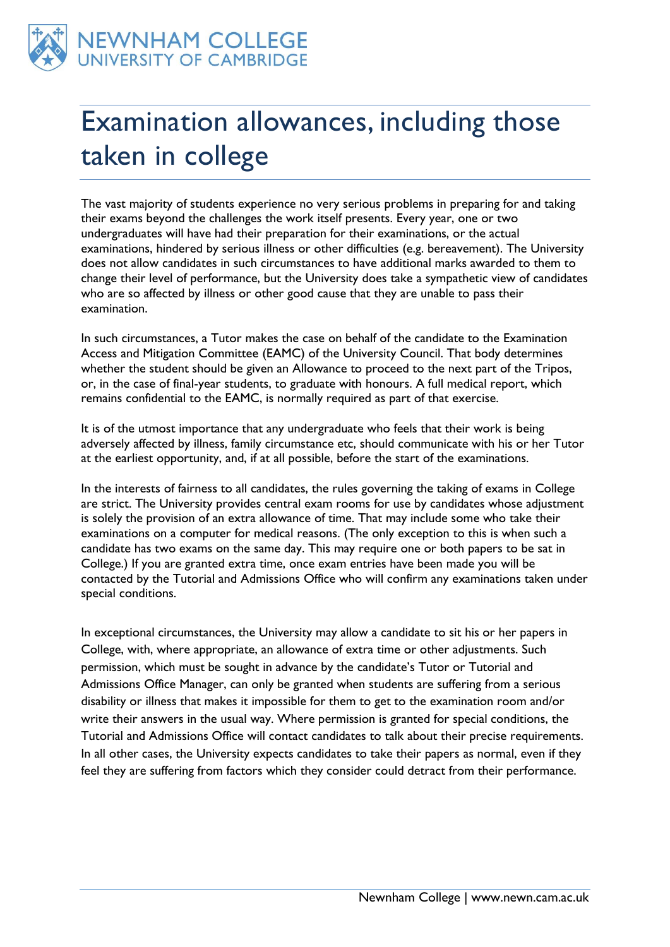

## Examination allowances, including those taken in college

The vast majority of students experience no very serious problems in preparing for and taking their exams beyond the challenges the work itself presents. Every year, one or two undergraduates will have had their preparation for their examinations, or the actual examinations, hindered by serious illness or other difficulties (e.g. bereavement). The University does not allow candidates in such circumstances to have additional marks awarded to them to change their level of performance, but the University does take a sympathetic view of candidates who are so affected by illness or other good cause that they are unable to pass their examination.

In such circumstances, a Tutor makes the case on behalf of the candidate to the Examination Access and Mitigation Committee (EAMC) of the University Council. That body determines whether the student should be given an Allowance to proceed to the next part of the Tripos, or, in the case of final-year students, to graduate with honours. A full medical report, which remains confidential to the EAMC, is normally required as part of that exercise.

It is of the utmost importance that any undergraduate who feels that their work is being adversely affected by illness, family circumstance etc, should communicate with his or her Tutor at the earliest opportunity, and, if at all possible, before the start of the examinations.

In the interests of fairness to all candidates, the rules governing the taking of exams in College are strict. The University provides central exam rooms for use by candidates whose adjustment is solely the provision of an extra allowance of time. That may include some who take their examinations on a computer for medical reasons. (The only exception to this is when such a candidate has two exams on the same day. This may require one or both papers to be sat in College.) If you are granted extra time, once exam entries have been made you will be contacted by the Tutorial and Admissions Office who will confirm any examinations taken under special conditions.

In exceptional circumstances, the University may allow a candidate to sit his or her papers in College, with, where appropriate, an allowance of extra time or other adjustments. Such permission, which must be sought in advance by the candidate's Tutor or Tutorial and Admissions Office Manager, can only be granted when students are suffering from a serious disability or illness that makes it impossible for them to get to the examination room and/or write their answers in the usual way. Where permission is granted for special conditions, the Tutorial and Admissions Office will contact candidates to talk about their precise requirements. In all other cases, the University expects candidates to take their papers as normal, even if they feel they are suffering from factors which they consider could detract from their performance.